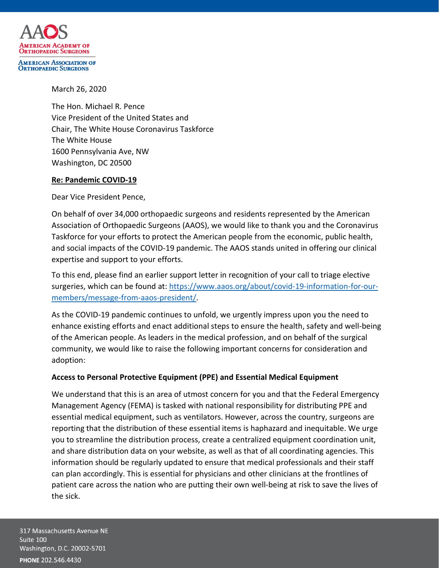

**ORTHOPAEDIC SURGEONS** 

March 26, 2020

The Hon. Michael R. Pence Vice President of the United States and Chair, The White House Coronavirus Taskforce The White House 1600 Pennsylvania Ave, NW Washington, DC 20500

# **Re: Pandemic COVID-19**

Dear Vice President Pence,

On behalf of over 34,000 orthopaedic surgeons and residents represented by the American Association of Orthopaedic Surgeons (AAOS), we would like to thank you and the Coronavirus Taskforce for your efforts to protect the American people from the economic, public health, and social impacts of the COVID-19 pandemic. The AAOS stands united in offering our clinical expertise and support to your efforts.

To this end, please find an earlier support letter in recognition of your call to triage elective surgeries, which can be found at: [https://www.aaos.org/about/covid-19-information-for-our](https://www.aaos.org/about/covid-19-information-for-our-members/message-from-aaos-president/)[members/message-from-aaos-president/.](https://www.aaos.org/about/covid-19-information-for-our-members/message-from-aaos-president/)

As the COVID-19 pandemic continues to unfold, we urgently impress upon you the need to enhance existing efforts and enact additional steps to ensure the health, safety and well-being of the American people. As leaders in the medical profession, and on behalf of the surgical community, we would like to raise the following important concerns for consideration and adoption:

# **Access to Personal Protective Equipment (PPE) and Essential Medical Equipment**

We understand that this is an area of utmost concern for you and that the Federal Emergency Management Agency (FEMA) is tasked with national responsibility for distributing PPE and essential medical equipment, such as ventilators. However, across the country, surgeons are reporting that the distribution of these essential items is haphazard and inequitable. We urge you to streamline the distribution process, create a centralized equipment coordination unit, and share distribution data on your website, as well as that of all coordinating agencies. This information should be regularly updated to ensure that medical professionals and their staff can plan accordingly. This is essential for physicians and other clinicians at the frontlines of patient care across the nation who are putting their own well-being at risk to save the lives of the sick.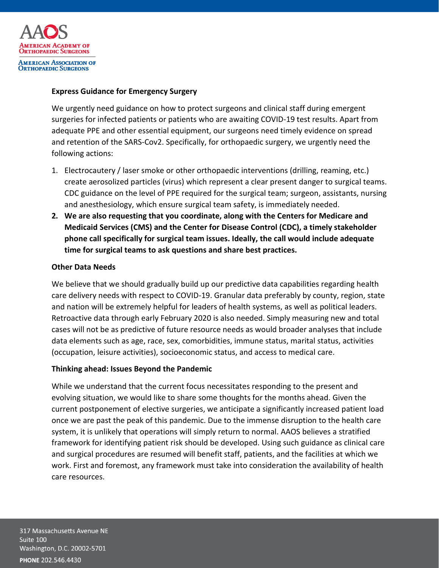

## **Express Guidance for Emergency Surgery**

We urgently need guidance on how to protect surgeons and clinical staff during emergent surgeries for infected patients or patients who are awaiting COVID-19 test results. Apart from adequate PPE and other essential equipment, our surgeons need timely evidence on spread and retention of the SARS-Cov2. Specifically, for orthopaedic surgery, we urgently need the following actions:

- 1. Electrocautery / laser smoke or other orthopaedic interventions (drilling, reaming, etc.) create aerosolized particles (virus) which represent a clear present danger to surgical teams. CDC guidance on the level of PPE required for the surgical team; surgeon, assistants, nursing and anesthesiology, which ensure surgical team safety, is immediately needed.
- **2. We are also requesting that you coordinate, along with the Centers for Medicare and Medicaid Services (CMS) and the Center for Disease Control (CDC), a timely stakeholder phone call specifically for surgical team issues. Ideally, the call would include adequate time for surgical teams to ask questions and share best practices.**

### **Other Data Needs**

We believe that we should gradually build up our predictive data capabilities regarding health care delivery needs with respect to COVID-19. Granular data preferably by county, region, state and nation will be extremely helpful for leaders of health systems, as well as political leaders. Retroactive data through early February 2020 is also needed. Simply measuring new and total cases will not be as predictive of future resource needs as would broader analyses that include data elements such as age, race, sex, comorbidities, immune status, marital status, activities (occupation, leisure activities), socioeconomic status, and access to medical care.

# **Thinking ahead: Issues Beyond the Pandemic**

While we understand that the current focus necessitates responding to the present and evolving situation, we would like to share some thoughts for the months ahead. Given the current postponement of elective surgeries, we anticipate a significantly increased patient load once we are past the peak of this pandemic. Due to the immense disruption to the health care system, it is unlikely that operations will simply return to normal. AAOS believes a stratified framework for identifying patient risk should be developed. Using such guidance as clinical care and surgical procedures are resumed will benefit staff, patients, and the facilities at which we work. First and foremost, any framework must take into consideration the availability of health care resources.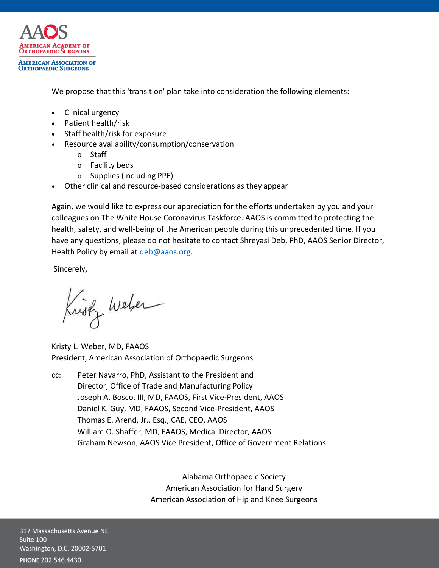

We propose that this 'transition' plan take into consideration the following elements:

- Clinical urgency
- Patient health/risk
- Staff health/risk for exposure
- Resource availability/consumption/conservation
	- o Staff
	- o Facility beds
	- o Supplies (including PPE)
- Other clinical and resource-based considerations as they appear

Again, we would like to express our appreciation for the efforts undertaken by you and your colleagues on The White House Coronavirus Taskforce. AAOS is committed to protecting the health, safety, and well-being of the American people during this unprecedented time. If you have any questions, please do not hesitate to contact Shreyasi Deb, PhD, AAOS Senior Director, Health Policy by email a[t deb@aaos.org.](mailto:deb@aaos.org)

Sincerely,

Kristz Weber

Kristy L. Weber, MD, FAAOS President, American Association of Orthopaedic Surgeons

cc: Peter Navarro, PhD, Assistant to the President and Director, Office of Trade and Manufacturing Policy Joseph A. Bosco, III, MD, FAAOS, First Vice-President, AAOS Daniel K. Guy, MD, FAAOS, Second Vice-President, AAOS Thomas E. Arend, Jr., Esq., CAE, CEO, AAOS William O. Shaffer, MD, FAAOS, Medical Director, AAOS Graham Newson, AAOS Vice President, Office of Government Relations

> Alabama Orthopaedic Society American Association for Hand Surgery American Association of Hip and Knee Surgeons